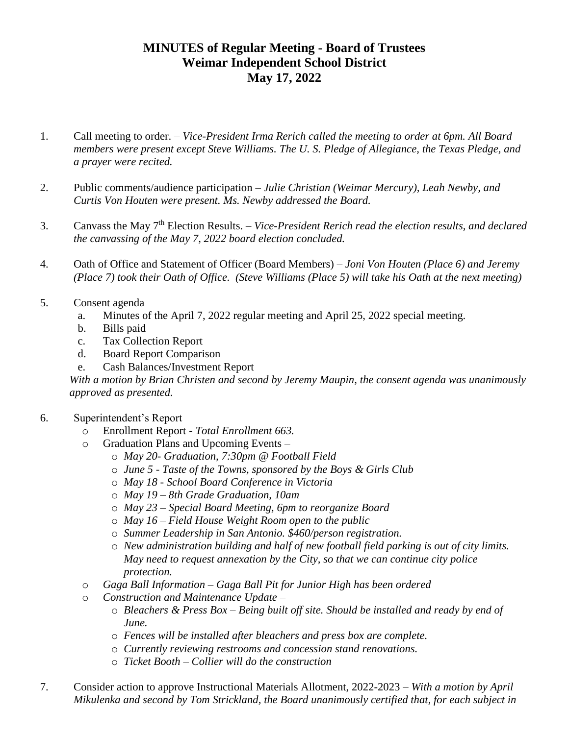## **MINUTES of Regular Meeting - Board of Trustees Weimar Independent School District May 17, 2022**

- 1. Call meeting to order. *Vice-President Irma Rerich called the meeting to order at 6pm. All Board members were present except Steve Williams. The U. S. Pledge of Allegiance, the Texas Pledge, and a prayer were recited.*
- 2. Public comments/audience participation *Julie Christian (Weimar Mercury), Leah Newby, and Curtis Von Houten were present. Ms. Newby addressed the Board.*
- 3. Canvass the May 7th Election Results. *– Vice-President Rerich read the election results, and declared the canvassing of the May 7, 2022 board election concluded.*
- 4. Oath of Office and Statement of Officer (Board Members) *Joni Von Houten (Place 6) and Jeremy (Place 7) took their Oath of Office. (Steve Williams (Place 5) will take his Oath at the next meeting)*
- 5. Consent agenda
	- a. Minutes of the April 7, 2022 regular meeting and April 25, 2022 special meeting.
	- b. Bills paid
	- c. Tax Collection Report
	- d. Board Report Comparison
	- e. Cash Balances/Investment Report

*With a motion by Brian Christen and second by Jeremy Maupin, the consent agenda was unanimously approved as presented.*

- 6. Superintendent's Report
	- o Enrollment Report *- Total Enrollment 663.*
	- o Graduation Plans and Upcoming Events
		- o *May 20- Graduation, 7:30pm @ Football Field*
		- o *June 5 - Taste of the Towns, sponsored by the Boys & Girls Club*
		- o *May 18 - School Board Conference in Victoria*
		- o *May 19 – 8th Grade Graduation, 10am*
		- o *May 23 – Special Board Meeting, 6pm to reorganize Board*
		- o *May 16 – Field House Weight Room open to the public*
		- o *Summer Leadership in San Antonio. \$460/person registration.*
		- o *New administration building and half of new football field parking is out of city limits. May need to request annexation by the City, so that we can continue city police protection.*
	- o *Gaga Ball Information – Gaga Ball Pit for Junior High has been ordered*
	- o *Construction and Maintenance Update –*
		- o *Bleachers & Press Box – Being built off site. Should be installed and ready by end of June.*
		- o *Fences will be installed after bleachers and press box are complete.*
		- o *Currently reviewing restrooms and concession stand renovations.*
		- o *Ticket Booth – Collier will do the construction*
- 7. Consider action to approve Instructional Materials Allotment, 2022-2023 *– With a motion by April Mikulenka and second by Tom Strickland, the Board unanimously certified that, for each subject in*